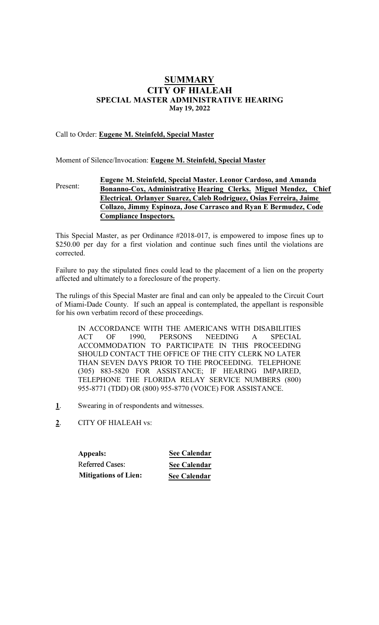# **SUMMARY** CITY OF HIALEAH SPECIAL MASTER ADMINISTRATIVE HEARING **May 19, 2022**

# Call to Order: Eugene M. Steinfeld, Special Master

Moment of Silence/Invocation: Eugene M. Steinfeld, Special Master

## Present: Eugene M. Steinfeld, Special Master. Leonor **Cardoso**, **and Amanda Bonanno-Cox,** Administrative Hearing Clerk**s**. Miguel Mendez, Chief Electrical. Orlanyer Suarez, **Caleb Rodriguez, Osias Ferreira, Jaime Collazo, Jimmy Espinoza, Jose Carrasco and Ryan E Bermudez, Code Compliance Inspectors.**

This Special Master, as per Ordinance #2018-017, is empowered to impose fines up to \$250.00 per day for a first violation and continue such fines until the violations are corrected.

Failure to pay the stipulated fines could lead to the placement of a lien on the property affected and ultimately to a foreclosure of the property.

The rulings of this Special Master are final and can only be appealed to the Circuit Court of Miami-Dade County. If such an appeal is contemplated, the appellant is responsible for his own verbatim record of these proceedings.

IN ACCORDANCE WITH THE AMERICANS WITH DISABILITIES ACT OF 1990, PERSONS NEEDING A SPECIAL ACCOMMODATION TO PARTICIPATE IN THIS PROCEEDING SHOULD CONTACT THE OFFICE OF THE CITY CLERK NO LATER THAN SEVEN DAYS PRIOR TO THE PROCEEDING. TELEPHONE (305) 883-5820 FOR ASSISTANCE; IF HEARING IMPAIRED, TELEPHONE THE FLORIDA RELAY SERVICE NUMBERS (800) 955-8771 (TDD) OR (800) 955-8770 (VOICE) FOR ASSISTANCE.

- 1. Swearing in of respondents and witnesses.
- 2. CITY OF HIALEAH vs:

**Appeals:** Referred Cases: **Mitigations of Lien:**

**See Calendar See Calendar See Calendar**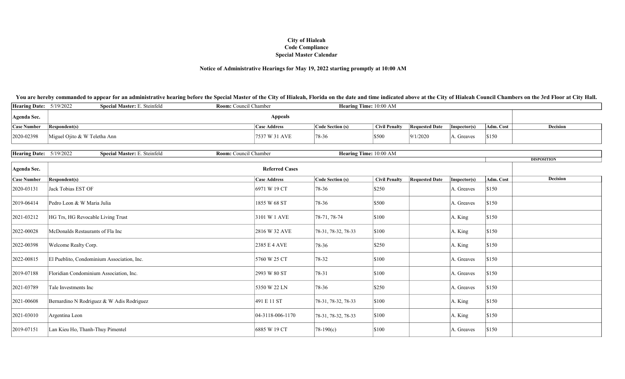## Notice of Administrative Hearings for May 19, 2022 starting promptly at 10:00 AM

| Hearing Date: $5/19/2022$ |                              | <b>Special Master: E. Steinfeld</b> | <b>Room:</b> Council Chamber |                     | <b>Hearing Time:</b> 10:00 AM |                      |                       |                      |           |          |
|---------------------------|------------------------------|-------------------------------------|------------------------------|---------------------|-------------------------------|----------------------|-----------------------|----------------------|-----------|----------|
| Agenda Sec.               | <b>Appeals</b>               |                                     |                              |                     |                               |                      |                       |                      |           |          |
| <b>Case Number</b>        | <b>Respondent(s)</b>         |                                     |                              | <b>Case Address</b> | Code Section (s)              | <b>Civil Penalty</b> | <b>Requested Date</b> | $\vert$ Inspector(s) | Adm. Cost | Decision |
| 2020-02398                | Miguel Ojito & W Teletha Ann |                                     |                              | 7537 W 31 AVE       | 78-36                         | \$500                | 9/1/2020              | A. Greaves           | \$150     |          |

| <b>Hearing Date:</b> 5/19/2022 | Special Master: E. Steinfeld               | Room: Council Chamber |                       | Hearing Time: 10:00 AM |                      |                       |              |                       |
|--------------------------------|--------------------------------------------|-----------------------|-----------------------|------------------------|----------------------|-----------------------|--------------|-----------------------|
|                                |                                            |                       |                       |                        |                      |                       |              | <b>DISPOSITION</b>    |
| Agenda Sec.                    |                                            |                       | <b>Referred Cases</b> |                        |                      |                       |              |                       |
| <b>Case Number</b>             | Respondent(s)                              |                       | <b>Case Address</b>   | Code Section (s)       | <b>Civil Penalty</b> | <b>Requested Date</b> | Inspector(s) | Decision<br>Adm. Cost |
| 2020-03131                     | Jack Tobias EST OF                         |                       | 6971 W 19 CT          | 78-36                  | $\$250$              |                       | A. Greaves   | \$150                 |
| 2019-06414                     | Pedro Leon & W Maria Julia                 |                       | 1855 W 68 ST          | 78-36                  | \$500                |                       | A. Greaves   | \$150                 |
| 2021-03212                     | HG Trs, HG Revocable Living Trust          |                       | 3101 W 1 AVE          | 78-71, 78-74           | \$100                |                       | A. King      | \$150                 |
| 2022-00028                     | McDonalds Restaurants of Fla Inc           |                       | 2816 W 32 AVE         | 78-31, 78-32, 78-33    | \$100                |                       | A. King      | \$150                 |
| 2022-00398                     | Welcome Realty Corp.                       |                       | 2385 E 4 AVE          | 78-36                  | \$250                |                       | A. King      | \$150                 |
| 2022-00815                     | El Pueblito, Condominium Association, Inc. |                       | 5760 W 25 CT          | 78-32                  | $\vert$ \$100        |                       | A. Greaves   | \$150                 |
| 2019-07188                     | Floridian Condominium Association, Inc.    |                       | 2993 W 80 ST          | $ 78-31 $              | \$100                |                       | A. Greaves   | \$150                 |
| 2021-03789                     | Tale Investments Inc                       |                       | 5350 W 22 LN          | 78-36                  | $\$250$              |                       | A. Greaves   | \$150                 |
| 2021-00608                     | Bernardino N Rodriguez & W Adis Rodriguez  |                       | 491 E 11 ST           | 78-31, 78-32, 78-33    | \$100                |                       | A. King      | \$150                 |
| 2021-03010                     | Argentina Leon                             |                       | 04-3118-006-1170      | 78-31, 78-32, 78-33    | \$100                |                       | A. King      | \$150                 |
| 2019-07151                     | Lan Kieu Ho, Thanh-Thuy Pimentel           |                       | 6885 W 19 CT          | $ 78-190(c) $          | \$100                |                       | A. Greaves   | \$150                 |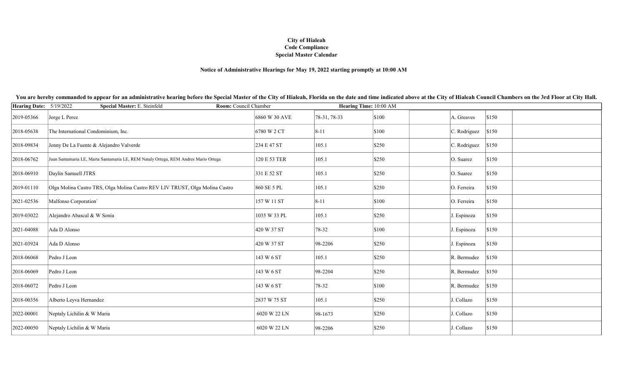## Notice of Administrative Hearings for May 19, 2022 starting promptly at 10:00 AM

| Hearing Date: 5/19/2022 | Special Master: E. Steinfeld<br>Room: Council Chamber                               |               | Hearing Time: 10:00 AM |                 |              |       |
|-------------------------|-------------------------------------------------------------------------------------|---------------|------------------------|-----------------|--------------|-------|
| 2019-05366              | Jorge L Perez                                                                       | 6860 W 30 AVE | 78-31, 78-33           | \$100           | A. Greaves   | \$150 |
| 2018-05638              | The International Condominium, Inc.                                                 | 6780 W 2 CT   | $ 8-11 $               | $\vert$ \$100   | C. Rodriguez | \$150 |
| 2018-09834              | Jenny De La Fuente & Alejandro Valverde                                             | 234 E 47 ST   | 105.1                  | $\frac{1}{250}$ | C. Rodriguez | \$150 |
| 2018-06762              | Juan Santamaria LE, Marta Santamaria LE, REM Nataly Ortega, REM Andres Mario Ortega | 120 E 53 TER  | 105.1                  | $\frac{1}{250}$ | O. Suarez    | \$150 |
| 2018-06910              | Daylin Samuell JTRS                                                                 | 331 E 52 ST   | 105.1                  | $\frac{1}{250}$ | O. Suarez    | \$150 |
| 2019-01110              | Olga Molina Castro TRS, Olga Molina Castro REV LIV TRUST, Olga Molina Castro        | 860 SE 5 PL   | 105.1                  | $\frac{1}{250}$ | O. Ferreira  | \$150 |
| 2021-02536              | Malfonso Corporation'                                                               | 157 W 11 ST   | $ 8 - 11 $             | \$100           | O. Ferreira  | \$150 |
| 2019-03022              | Alejandro Abascal & W Sonia                                                         | 1035 W 33 PL  | 105.1                  | $\vert$ \$250   | J. Espinoza  | \$150 |
| 2021-04088              | Ada D Alonso                                                                        | 420 W 37 ST   | 78-32                  | $\vert$ \$100   | J. Espinoza  | \$150 |
| 2021-03924              | Ada D Alonso                                                                        | 420 W 37 ST   | 98-2206                | \$250           | J. Espinoza  | \$150 |
| 2018-06068              | Pedro J Leon                                                                        | 143 W 6 ST    | 105.1                  | \$250           | R. Bermudez  | \$150 |
| 2018-06069              | Pedro J Leon                                                                        | 143 W 6 ST    | 98-2204                | $\vert$ \$250   | R. Bermudez  | \$150 |
| 2018-06072              | Pedro J Leon                                                                        | 143 W 6 ST    | 78-32                  | \$100           | R. Bermudez  | \$150 |
| 2018-00356              | Alberto Leyva Hernandez                                                             | 2837 W 75 ST  | 105.1                  | \$250           | J. Collazo   | \$150 |
| 2022-00001              | Neptaly Lichilin & W Maria                                                          | 6020 W 22 LN  | 98-1673                | $\frac{1}{250}$ | J. Collazo   | \$150 |
| 2022-00050              | Neptaly Lichilin & W Maria                                                          | 6020 W 22 LN  | 98-2206                | \$250           | J. Collazo   | \$150 |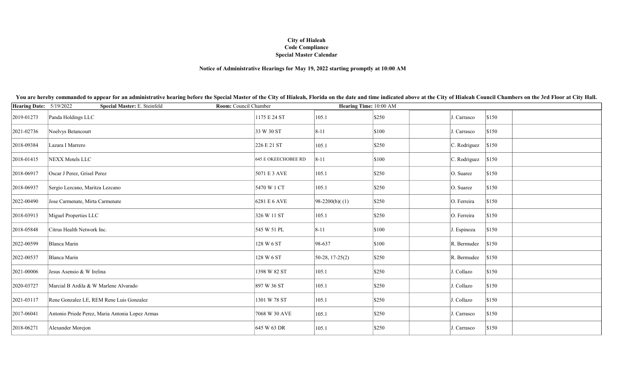## Notice of Administrative Hearings for May 19, 2022 starting promptly at 10:00 AM

| Hearing Date: 5/19/2022 | Special Master: E. Steinfeld<br>Room: Council Chamber |                            | Hearing Time: 10:00 AM |                 |                         |       |
|-------------------------|-------------------------------------------------------|----------------------------|------------------------|-----------------|-------------------------|-------|
| 2019-01273              | Panda Holdings LLC                                    | 1175 E 24 ST               | 105.1                  | \$250           | J. Carrasco             | \$150 |
| 2021-02736              | Noelvys Betancourt                                    | 33 W 30 ST                 | $ 8 - 11 $             | \$100           | J. Carrasco             | \$150 |
| 2018-09384              | Lazara I Marrero                                      | 226 E 21 ST                | 105.1                  | $\frac{1}{250}$ | $ C.$ Rodriguez $ $150$ |       |
| 2018-01415              | <b>NEXX Motels LLC</b>                                | <b>645 E OKEECHOBEE RD</b> | $ 8-11 $               | \$100           | $ C.$ Rodriguez $ $150$ |       |
| 2018-06917              | Oscar J Perez, Grisel Perez                           | 5071 E 3 AVE               | 105.1                  | \$250           | O. Suarez               | \$150 |
| 2018-06937              | Sergio Lezcano, Maritza Lezcano                       | 5470 W 1 CT                | 105.1                  | \$250           | O. Suarez               | \$150 |
| 2022-00490              | Jose Carmenate, Mirta Carmenate                       | 6281 E 6 AVE               | $ 98-2200(b)(1)$       | $\$250$         | O. Ferreira             | \$150 |
| 2018-03913              | Miguel Properties LLC                                 | 326 W 11 ST                | 105.1                  | $\$250$         | O. Ferreira             | \$150 |
| 2018-05848              | Citrus Health Network Inc.                            | 545 W 51 PL                | $8 - 11$               | \$100           | J. Espinoza             | \$150 |
| 2022-00599              | Blanca Marin                                          | 128 W 6 ST                 | 98-637                 | \$100           | R. Bermudez             | \$150 |
| 2022-00537              | Blanca Marin                                          | 128 W 6 ST                 | $50-28, 17-25(2)$      | $\$250$         | R. Bermudez             | \$150 |
| 2021-00006              | Jesus Asensio & W Irelina                             | 1398 W 82 ST               | 105.1                  | $\$250$         | J. Collazo              | \$150 |
| 2020-03727              | Marcial B Ardila & W Marlene Alvarado                 | 897 W 36 ST                | 105.1                  | \$250           | J. Collazo              | \$150 |
| 2021-03117              | Rene Gonzalez LE, REM Rene Luis Gonzalez              | 1301 W 78 ST               | 105.1                  | $\$250$         | J. Collazo              | \$150 |
| 2017-06041              | Antonio Priede Perez, Maria Antonia Lopez Armas       | 7068 W 30 AVE              | 105.1                  | $\frac{1}{250}$ | J. Carrasco             | \$150 |
| 2018-06271              | Alexander Morejon                                     | 645 W 63 DR                | 105.1                  | \$250           | J. Carrasco             | \$150 |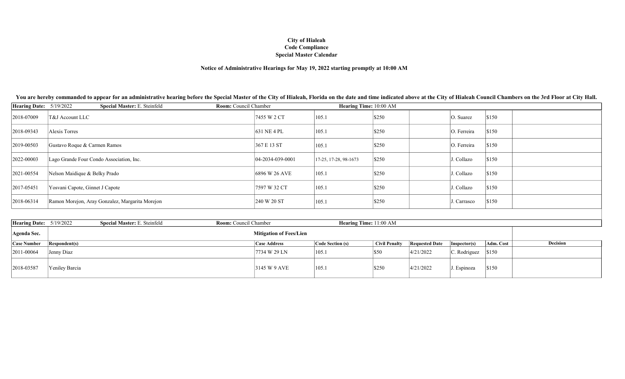# Notice of Administrative Hearings for May 19, 2022 starting promptly at 10:00 AM

| <b>Hearing Date:</b> 5/19/2022 |                                 | <b>Special Master: E. Steinfeld</b>             | <b>Room:</b> Council Chamber |                      | Hearing Time: 10:00 AM  |                 |                      |                |  |
|--------------------------------|---------------------------------|-------------------------------------------------|------------------------------|----------------------|-------------------------|-----------------|----------------------|----------------|--|
| 2018-07009                     | T&J Account LLC                 |                                                 |                              | 7455 W 2 CT          | 105.1                   | $\frac{1}{250}$ | $ O. \text{ Suarez}$ | $\sqrt{\$150}$ |  |
| 2018-09343                     | Alexis Torres                   |                                                 |                              | 631 NE 4 PL          | 105.1                   | $\$250$         | O. Ferreira          | \$150          |  |
| 2019-00503                     | Gustavo Roque & Carmen Ramos    |                                                 |                              | 367 E 13 ST          | 105.1                   | $\frac{1}{250}$ | O. Ferreira          | \$150          |  |
| 2022-00003                     |                                 | Lago Grande Four Condo Association, Inc.        |                              | $ 04-2034-039-0001 $ | $17-25, 17-28, 98-1673$ | \$250           | J. Collazo           | \$150          |  |
| 2021-00554                     | Nelson Maidique & Belky Prado   |                                                 |                              | 6896 W 26 AVE        | 105.1                   | $\frac{1}{250}$ | J. Collazo           | \$150          |  |
| 2017-05451                     | Yosvani Capote, Ginnet J Capote |                                                 |                              | 7597 W 32 CT         | 105.1                   | \$250           | J. Collazo           | \$150          |  |
| 2018-06314                     |                                 | Ramon Morejon, Aray Gonzalez, Margarita Morejon |                              | 240 W 20 ST          | 105.1                   | \$250           | J. Carrasco          | \$150          |  |

| Hearing Date: $5/19/2022$ |                      | <b>Special Master: E. Steinfeld</b> | <b>Room:</b> Council Chamber |                                | <b>Hearing Time:</b> 11:00 AM |                 |                       |                          |           |          |
|---------------------------|----------------------|-------------------------------------|------------------------------|--------------------------------|-------------------------------|-----------------|-----------------------|--------------------------|-----------|----------|
| Agenda Sec.               |                      |                                     |                              | <b>Mitigation of Fees/Lien</b> |                               |                 |                       |                          |           |          |
| <b>Case Number</b>        | <b>Respondent(s)</b> |                                     |                              | <b>Case Address</b>            | Code Section (s)              | ↑ Civil Penalty | <b>Requested Date</b> | Insector(s)              | Adm. Cost | Decision |
| 2011-00064                | Jenny Diaz           |                                     |                              | 7734 W 29 LN                   | 105.1                         | S50             | 4/21/2022             | $ C.$ Rodriguez $ \$150$ |           |          |
| 2018-03587                | Yeniley Barcia       |                                     |                              | 3145 W 9 AVE                   | 1105.1                        | \$250           | 4/21/2022             | . Espinoza               | \$150     |          |